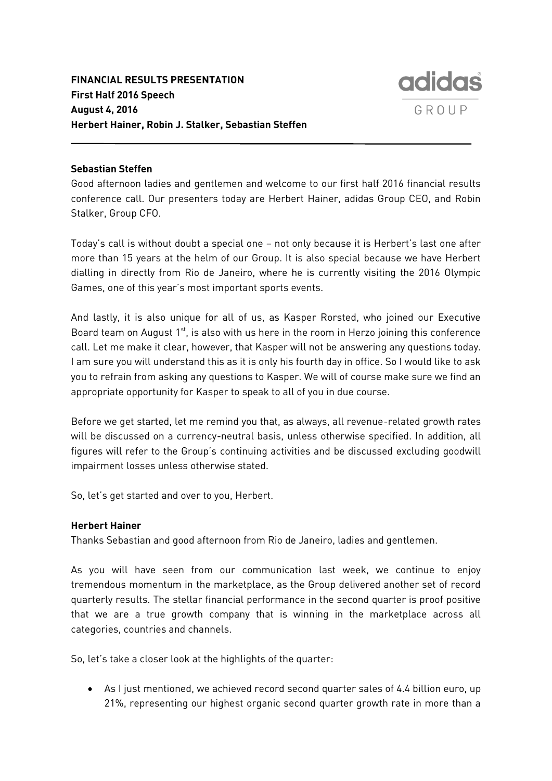

# **Sebastian Steffen**

Good afternoon ladies and gentlemen and welcome to our first half 2016 financial results conference call. Our presenters today are Herbert Hainer, adidas Group CEO, and Robin Stalker, Group CFO.

Today's call is without doubt a special one – not only because it is Herbert's last one after more than 15 years at the helm of our Group. It is also special because we have Herbert dialling in directly from Rio de Janeiro, where he is currently visiting the 2016 Olympic Games, one of this year's most important sports events.

And lastly, it is also unique for all of us, as Kasper Rorsted, who joined our Executive Board team on August  $1^{st}$ , is also with us here in the room in Herzo joining this conference call. Let me make it clear, however, that Kasper will not be answering any questions today. I am sure you will understand this as it is only his fourth day in office. So I would like to ask you to refrain from asking any questions to Kasper. We will of course make sure we find an appropriate opportunity for Kasper to speak to all of you in due course.

Before we get started, let me remind you that, as always, all revenue-related growth rates will be discussed on a currency-neutral basis, unless otherwise specified. In addition, all figures will refer to the Group's continuing activities and be discussed excluding goodwill impairment losses unless otherwise stated.

So, let's get started and over to you, Herbert.

## **Herbert Hainer**

Thanks Sebastian and good afternoon from Rio de Janeiro, ladies and gentlemen.

As you will have seen from our communication last week, we continue to enjoy tremendous momentum in the marketplace, as the Group delivered another set of record quarterly results. The stellar financial performance in the second quarter is proof positive that we are a true growth company that is winning in the marketplace across all categories, countries and channels.

So, let's take a closer look at the highlights of the quarter:

 As I just mentioned, we achieved record second quarter sales of 4.4 billion euro, up 21%, representing our highest organic second quarter growth rate in more than a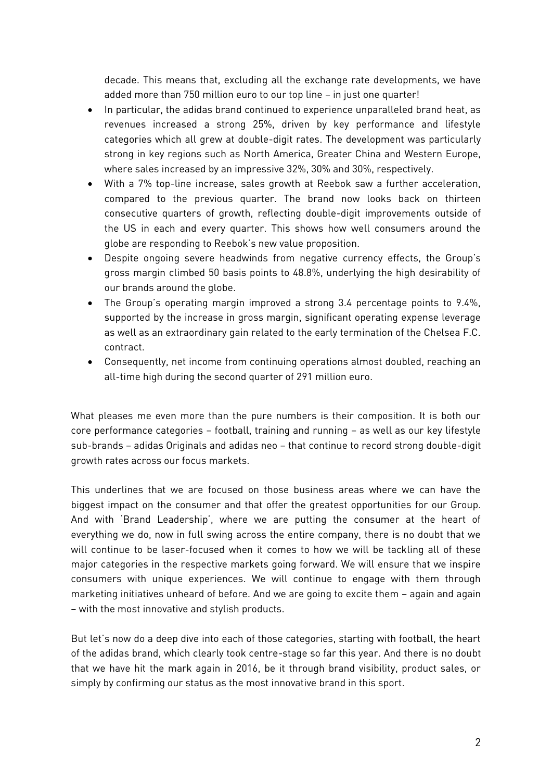decade. This means that, excluding all the exchange rate developments, we have added more than 750 million euro to our top line – in just one quarter!

- In particular, the adidas brand continued to experience unparalleled brand heat, as revenues increased a strong 25%, driven by key performance and lifestyle categories which all grew at double-digit rates. The development was particularly strong in key regions such as North America, Greater China and Western Europe, where sales increased by an impressive 32%, 30% and 30%, respectively.
- With a 7% top-line increase, sales growth at Reebok saw a further acceleration, compared to the previous quarter. The brand now looks back on thirteen consecutive quarters of growth, reflecting double-digit improvements outside of the US in each and every quarter. This shows how well consumers around the globe are responding to Reebok's new value proposition.
- Despite ongoing severe headwinds from negative currency effects, the Group's gross margin climbed 50 basis points to 48.8%, underlying the high desirability of our brands around the globe.
- The Group's operating margin improved a strong 3.4 percentage points to 9.4%, supported by the increase in gross margin, significant operating expense leverage as well as an extraordinary gain related to the early termination of the Chelsea F.C. contract.
- Consequently, net income from continuing operations almost doubled, reaching an all-time high during the second quarter of 291 million euro.

What pleases me even more than the pure numbers is their composition. It is both our core performance categories – football, training and running – as well as our key lifestyle sub-brands – adidas Originals and adidas neo – that continue to record strong double-digit growth rates across our focus markets.

This underlines that we are focused on those business areas where we can have the biggest impact on the consumer and that offer the greatest opportunities for our Group. And with 'Brand Leadership', where we are putting the consumer at the heart of everything we do, now in full swing across the entire company, there is no doubt that we will continue to be laser-focused when it comes to how we will be tackling all of these major categories in the respective markets going forward. We will ensure that we inspire consumers with unique experiences. We will continue to engage with them through marketing initiatives unheard of before. And we are going to excite them – again and again – with the most innovative and stylish products.

But let's now do a deep dive into each of those categories, starting with football, the heart of the adidas brand, which clearly took centre-stage so far this year. And there is no doubt that we have hit the mark again in 2016, be it through brand visibility, product sales, or simply by confirming our status as the most innovative brand in this sport.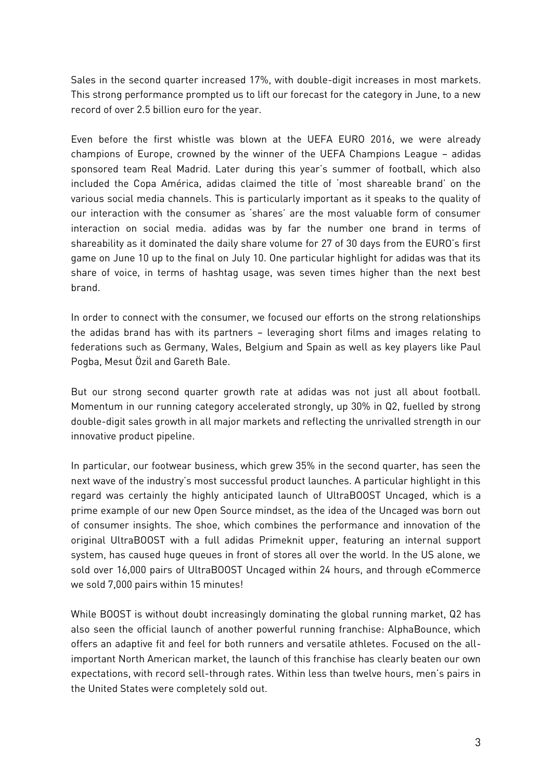Sales in the second quarter increased 17%, with double-digit increases in most markets. This strong performance prompted us to lift our forecast for the category in June, to a new record of over 2.5 billion euro for the year.

Even before the first whistle was blown at the UEFA EURO 2016, we were already champions of Europe, crowned by the winner of the UEFA Champions League – adidas sponsored team Real Madrid. Later during this year's summer of football, which also included the Copa América, adidas claimed the title of 'most shareable brand' on the various social media channels. This is particularly important as it speaks to the quality of our interaction with the consumer as 'shares' are the most valuable form of consumer interaction on social media. adidas was by far the number one brand in terms of shareability as it dominated the daily share volume for 27 of 30 days from the EURO's first game on June 10 up to the final on July 10. One particular highlight for adidas was that its share of voice, in terms of hashtag usage, was seven times higher than the next best brand.

In order to connect with the consumer, we focused our efforts on the strong relationships the adidas brand has with its partners – leveraging short films and images relating to federations such as Germany, Wales, Belgium and Spain as well as key players like Paul Pogba, Mesut Özil and Gareth Bale.

But our strong second quarter growth rate at adidas was not just all about football. Momentum in our running category accelerated strongly, up 30% in Q2, fuelled by strong double-digit sales growth in all major markets and reflecting the unrivalled strength in our innovative product pipeline.

In particular, our footwear business, which grew 35% in the second quarter, has seen the next wave of the industry's most successful product launches. A particular highlight in this regard was certainly the highly anticipated launch of UltraBOOST Uncaged, which is a prime example of our new Open Source mindset, as the idea of the Uncaged was born out of consumer insights. The shoe, which combines the performance and innovation of the original UltraBOOST with a full adidas Primeknit upper, featuring an internal support system, has caused huge queues in front of stores all over the world. In the US alone, we sold over 16,000 pairs of UltraBOOST Uncaged within 24 hours, and through eCommerce we sold 7,000 pairs within 15 minutes!

While BOOST is without doubt increasingly dominating the global running market, Q2 has also seen the official launch of another powerful running franchise: AlphaBounce, which offers an adaptive fit and feel for both runners and versatile athletes. Focused on the allimportant North American market, the launch of this franchise has clearly beaten our own expectations, with record sell-through rates. Within less than twelve hours, men's pairs in the United States were completely sold out.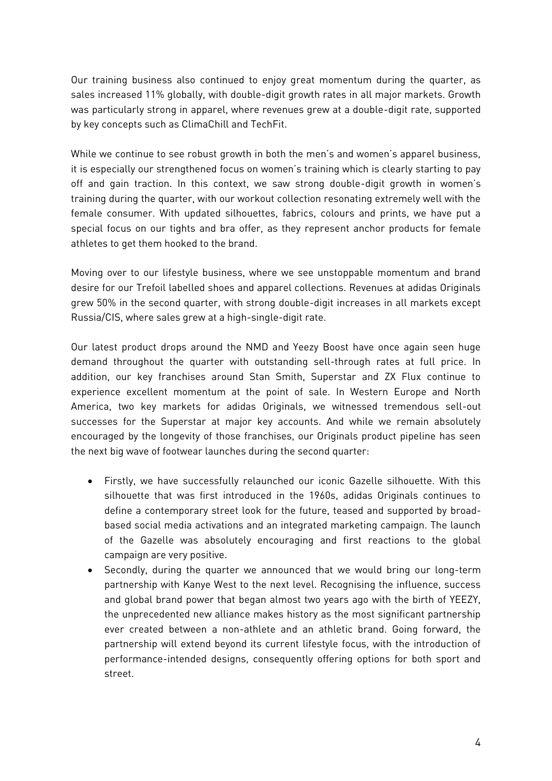Our training business also continued to enjoy great momentum during the quarter, as sales increased 11% globally, with double-digit growth rates in all major markets. Growth was particularly strong in apparel, where revenues grew at a double-digit rate, supported by key concepts such as ClimaChill and TechFit.

While we continue to see robust growth in both the men's and women's apparel business, it is especially our strengthened focus on women's training which is clearly starting to pay off and gain traction. In this context, we saw strong double-digit growth in women's training during the quarter, with our workout collection resonating extremely well with the female consumer. With updated silhouettes, fabrics, colours and prints, we have put a special focus on our tights and bra offer, as they represent anchor products for female athletes to get them hooked to the brand.

Moving over to our lifestyle business, where we see unstoppable momentum and brand desire for our Trefoil labelled shoes and apparel collections. Revenues at adidas Originals grew 50% in the second quarter, with strong double-digit increases in all markets except Russia/CIS, where sales grew at a high-single-digit rate.

Our latest product drops around the NMD and Yeezy Boost have once again seen huge demand throughout the quarter with outstanding sell-through rates at full price. In addition, our key franchises around Stan Smith, Superstar and ZX Flux continue to experience excellent momentum at the point of sale. In Western Europe and North America, two key markets for adidas Originals, we witnessed tremendous sell-out successes for the Superstar at major key accounts. And while we remain absolutely encouraged by the longevity of those franchises, our Originals product pipeline has seen the next big wave of footwear launches during the second quarter:

- Firstly, we have successfully relaunched our iconic Gazelle silhouette. With this silhouette that was first introduced in the 1960s, adidas Originals continues to define a contemporary street look for the future, teased and supported by broadbased social media activations and an integrated marketing campaign. The launch of the Gazelle was absolutely encouraging and first reactions to the global campaign are very positive.
- Secondly, during the quarter we announced that we would bring our long-term partnership with Kanye West to the next level. Recognising the influence, success and global brand power that began almost two years ago with the birth of YEEZY, the unprecedented new alliance makes history as the most significant partnership ever created between a non-athlete and an athletic brand. Going forward, the partnership will extend beyond its current lifestyle focus, with the introduction of performance-intended designs, consequently offering options for both sport and street.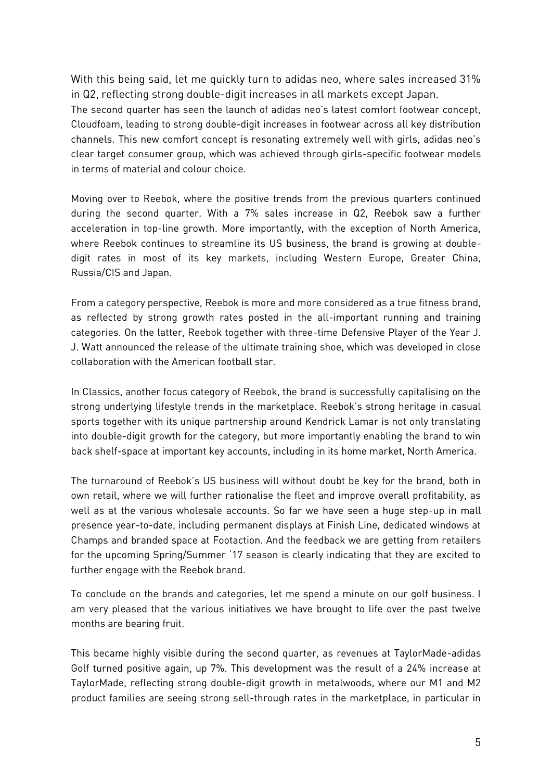With this being said, let me quickly turn to adidas neo, where sales increased 31% in Q2, reflecting strong double-digit increases in all markets except Japan. The second quarter has seen the launch of adidas neo's latest comfort footwear concept, Cloudfoam, leading to strong double-digit increases in footwear across all key distribution channels. This new comfort concept is resonating extremely well with girls, adidas neo's clear target consumer group, which was achieved through girls-specific footwear models in terms of material and colour choice.

Moving over to Reebok, where the positive trends from the previous quarters continued during the second quarter. With a 7% sales increase in Q2, Reebok saw a further acceleration in top-line growth. More importantly, with the exception of North America, where Reebok continues to streamline its US business, the brand is growing at doubledigit rates in most of its key markets, including Western Europe, Greater China, Russia/CIS and Japan.

From a category perspective, Reebok is more and more considered as a true fitness brand, as reflected by strong growth rates posted in the all-important running and training categories. On the latter, Reebok together with three-time Defensive Player of the Year J. J. Watt announced the release of the ultimate training shoe, which was developed in close collaboration with the American football star.

In Classics, another focus category of Reebok, the brand is successfully capitalising on the strong underlying lifestyle trends in the marketplace. Reebok's strong heritage in casual sports together with its unique partnership around Kendrick Lamar is not only translating into double-digit growth for the category, but more importantly enabling the brand to win back shelf-space at important key accounts, including in its home market, North America.

The turnaround of Reebok's US business will without doubt be key for the brand, both in own retail, where we will further rationalise the fleet and improve overall profitability, as well as at the various wholesale accounts. So far we have seen a huge step-up in mall presence year-to-date, including permanent displays at Finish Line, dedicated windows at Champs and branded space at Footaction. And the feedback we are getting from retailers for the upcoming Spring/Summer '17 season is clearly indicating that they are excited to further engage with the Reebok brand.

To conclude on the brands and categories, let me spend a minute on our golf business. I am very pleased that the various initiatives we have brought to life over the past twelve months are bearing fruit.

This became highly visible during the second quarter, as revenues at TaylorMade-adidas Golf turned positive again, up 7%. This development was the result of a 24% increase at TaylorMade, reflecting strong double-digit growth in metalwoods, where our M1 and M2 product families are seeing strong sell-through rates in the marketplace, in particular in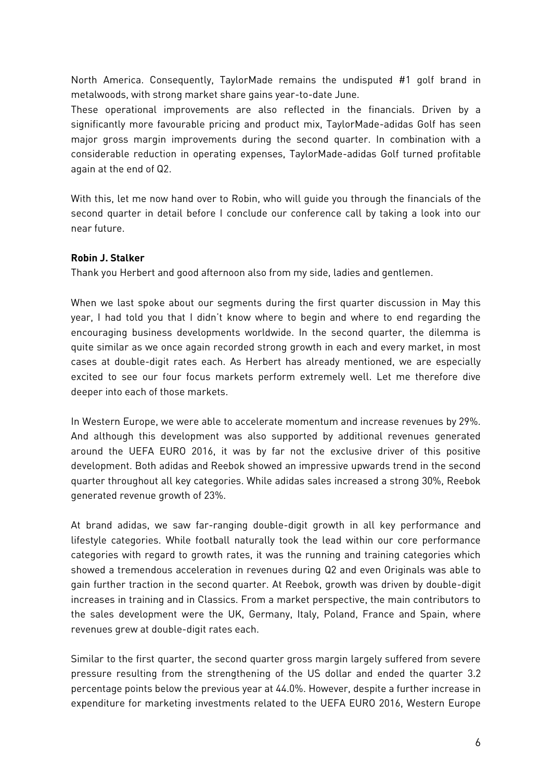North America. Consequently, TaylorMade remains the undisputed #1 golf brand in metalwoods, with strong market share gains year-to-date June.

These operational improvements are also reflected in the financials. Driven by a significantly more favourable pricing and product mix, TaylorMade-adidas Golf has seen major gross margin improvements during the second quarter. In combination with a considerable reduction in operating expenses, TaylorMade-adidas Golf turned profitable again at the end of Q2.

With this, let me now hand over to Robin, who will guide you through the financials of the second quarter in detail before I conclude our conference call by taking a look into our near future.

## **Robin J. Stalker**

Thank you Herbert and good afternoon also from my side, ladies and gentlemen.

When we last spoke about our segments during the first quarter discussion in May this year, I had told you that I didn't know where to begin and where to end regarding the encouraging business developments worldwide. In the second quarter, the dilemma is quite similar as we once again recorded strong growth in each and every market, in most cases at double-digit rates each. As Herbert has already mentioned, we are especially excited to see our four focus markets perform extremely well. Let me therefore dive deeper into each of those markets.

In Western Europe, we were able to accelerate momentum and increase revenues by 29%. And although this development was also supported by additional revenues generated around the UEFA EURO 2016, it was by far not the exclusive driver of this positive development. Both adidas and Reebok showed an impressive upwards trend in the second quarter throughout all key categories. While adidas sales increased a strong 30%, Reebok generated revenue growth of 23%.

At brand adidas, we saw far-ranging double-digit growth in all key performance and lifestyle categories. While football naturally took the lead within our core performance categories with regard to growth rates, it was the running and training categories which showed a tremendous acceleration in revenues during Q2 and even Originals was able to gain further traction in the second quarter. At Reebok, growth was driven by double-digit increases in training and in Classics. From a market perspective, the main contributors to the sales development were the UK, Germany, Italy, Poland, France and Spain, where revenues grew at double-digit rates each.

Similar to the first quarter, the second quarter gross margin largely suffered from severe pressure resulting from the strengthening of the US dollar and ended the quarter 3.2 percentage points below the previous year at 44.0%. However, despite a further increase in expenditure for marketing investments related to the UEFA EURO 2016, Western Europe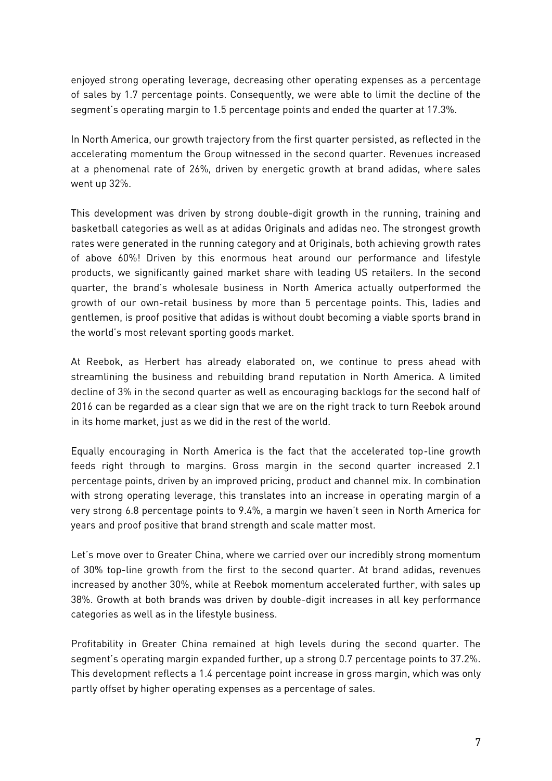enjoyed strong operating leverage, decreasing other operating expenses as a percentage of sales by 1.7 percentage points. Consequently, we were able to limit the decline of the segment's operating margin to 1.5 percentage points and ended the quarter at 17.3%.

In North America, our growth trajectory from the first quarter persisted, as reflected in the accelerating momentum the Group witnessed in the second quarter. Revenues increased at a phenomenal rate of 26%, driven by energetic growth at brand adidas, where sales went up 32%.

This development was driven by strong double-digit growth in the running, training and basketball categories as well as at adidas Originals and adidas neo. The strongest growth rates were generated in the running category and at Originals, both achieving growth rates of above 60%! Driven by this enormous heat around our performance and lifestyle products, we significantly gained market share with leading US retailers. In the second quarter, the brand's wholesale business in North America actually outperformed the growth of our own-retail business by more than 5 percentage points. This, ladies and gentlemen, is proof positive that adidas is without doubt becoming a viable sports brand in the world's most relevant sporting goods market.

At Reebok, as Herbert has already elaborated on, we continue to press ahead with streamlining the business and rebuilding brand reputation in North America. A limited decline of 3% in the second quarter as well as encouraging backlogs for the second half of 2016 can be regarded as a clear sign that we are on the right track to turn Reebok around in its home market, just as we did in the rest of the world.

Equally encouraging in North America is the fact that the accelerated top-line growth feeds right through to margins. Gross margin in the second quarter increased 2.1 percentage points, driven by an improved pricing, product and channel mix. In combination with strong operating leverage, this translates into an increase in operating margin of a very strong 6.8 percentage points to 9.4%, a margin we haven't seen in North America for years and proof positive that brand strength and scale matter most.

Let's move over to Greater China, where we carried over our incredibly strong momentum of 30% top-line growth from the first to the second quarter. At brand adidas, revenues increased by another 30%, while at Reebok momentum accelerated further, with sales up 38%. Growth at both brands was driven by double-digit increases in all key performance categories as well as in the lifestyle business.

Profitability in Greater China remained at high levels during the second quarter. The segment's operating margin expanded further, up a strong 0.7 percentage points to 37.2%. This development reflects a 1.4 percentage point increase in gross margin, which was only partly offset by higher operating expenses as a percentage of sales.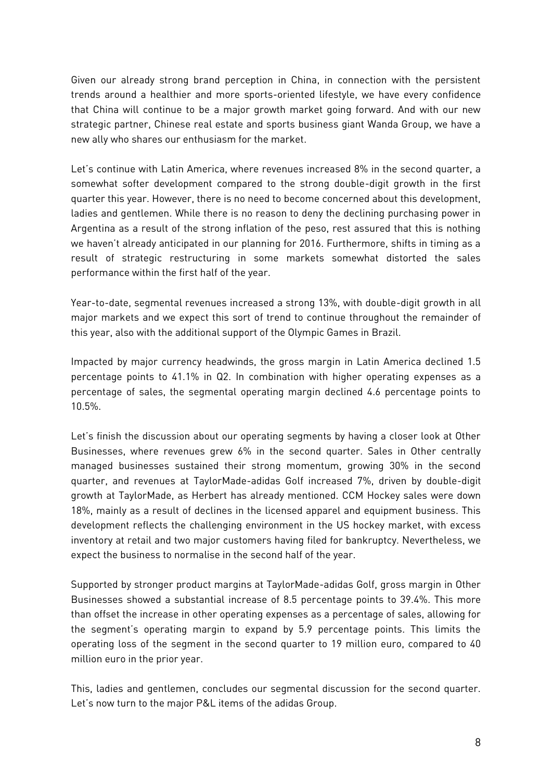Given our already strong brand perception in China, in connection with the persistent trends around a healthier and more sports-oriented lifestyle, we have every confidence that China will continue to be a major growth market going forward. And with our new strategic partner, Chinese real estate and sports business giant Wanda Group, we have a new ally who shares our enthusiasm for the market.

Let's continue with Latin America, where revenues increased 8% in the second quarter, a somewhat softer development compared to the strong double-digit growth in the first quarter this year. However, there is no need to become concerned about this development, ladies and gentlemen. While there is no reason to deny the declining purchasing power in Argentina as a result of the strong inflation of the peso, rest assured that this is nothing we haven't already anticipated in our planning for 2016. Furthermore, shifts in timing as a result of strategic restructuring in some markets somewhat distorted the sales performance within the first half of the year.

Year-to-date, segmental revenues increased a strong 13%, with double-digit growth in all major markets and we expect this sort of trend to continue throughout the remainder of this year, also with the additional support of the Olympic Games in Brazil.

Impacted by major currency headwinds, the gross margin in Latin America declined 1.5 percentage points to 41.1% in Q2. In combination with higher operating expenses as a percentage of sales, the segmental operating margin declined 4.6 percentage points to 10.5%.

Let's finish the discussion about our operating segments by having a closer look at Other Businesses, where revenues grew 6% in the second quarter. Sales in Other centrally managed businesses sustained their strong momentum, growing 30% in the second quarter, and revenues at TaylorMade-adidas Golf increased 7%, driven by double-digit growth at TaylorMade, as Herbert has already mentioned. CCM Hockey sales were down 18%, mainly as a result of declines in the licensed apparel and equipment business. This development reflects the challenging environment in the US hockey market, with excess inventory at retail and two major customers having filed for bankruptcy. Nevertheless, we expect the business to normalise in the second half of the year.

Supported by stronger product margins at TaylorMade-adidas Golf, gross margin in Other Businesses showed a substantial increase of 8.5 percentage points to 39.4%. This more than offset the increase in other operating expenses as a percentage of sales, allowing for the segment's operating margin to expand by 5.9 percentage points. This limits the operating loss of the segment in the second quarter to 19 million euro, compared to 40 million euro in the prior year.

This, ladies and gentlemen, concludes our segmental discussion for the second quarter. Let's now turn to the major P&L items of the adidas Group.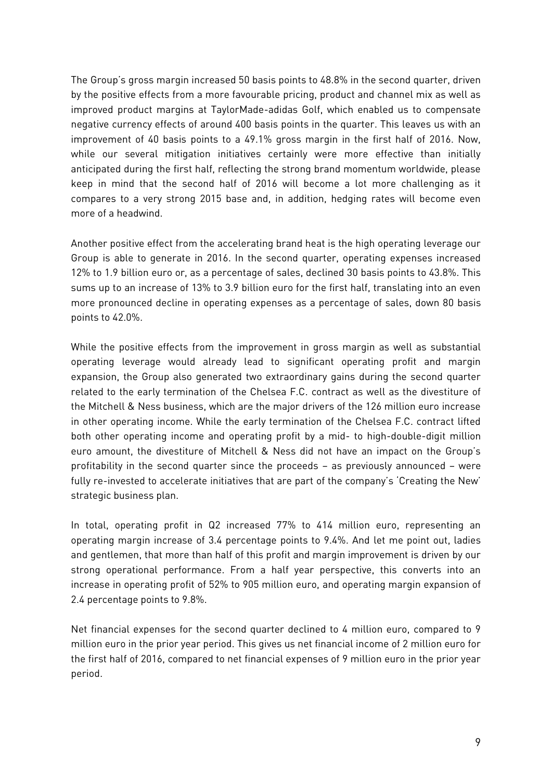The Group's gross margin increased 50 basis points to 48.8% in the second quarter, driven by the positive effects from a more favourable pricing, product and channel mix as well as improved product margins at TaylorMade-adidas Golf, which enabled us to compensate negative currency effects of around 400 basis points in the quarter. This leaves us with an improvement of 40 basis points to a 49.1% gross margin in the first half of 2016. Now, while our several mitigation initiatives certainly were more effective than initially anticipated during the first half, reflecting the strong brand momentum worldwide, please keep in mind that the second half of 2016 will become a lot more challenging as it compares to a very strong 2015 base and, in addition, hedging rates will become even more of a headwind.

Another positive effect from the accelerating brand heat is the high operating leverage our Group is able to generate in 2016. In the second quarter, operating expenses increased 12% to 1.9 billion euro or, as a percentage of sales, declined 30 basis points to 43.8%. This sums up to an increase of 13% to 3.9 billion euro for the first half, translating into an even more pronounced decline in operating expenses as a percentage of sales, down 80 basis points to 42.0%.

While the positive effects from the improvement in gross margin as well as substantial operating leverage would already lead to significant operating profit and margin expansion, the Group also generated two extraordinary gains during the second quarter related to the early termination of the Chelsea F.C. contract as well as the divestiture of the Mitchell & Ness business, which are the major drivers of the 126 million euro increase in other operating income. While the early termination of the Chelsea F.C. contract lifted both other operating income and operating profit by a mid- to high-double-digit million euro amount, the divestiture of Mitchell & Ness did not have an impact on the Group's profitability in the second quarter since the proceeds – as previously announced – were fully re-invested to accelerate initiatives that are part of the company's 'Creating the New' strategic business plan.

In total, operating profit in Q2 increased 77% to 414 million euro, representing an operating margin increase of 3.4 percentage points to 9.4%. And let me point out, ladies and gentlemen, that more than half of this profit and margin improvement is driven by our strong operational performance. From a half year perspective, this converts into an increase in operating profit of 52% to 905 million euro, and operating margin expansion of 2.4 percentage points to 9.8%.

Net financial expenses for the second quarter declined to 4 million euro, compared to 9 million euro in the prior year period. This gives us net financial income of 2 million euro for the first half of 2016, compared to net financial expenses of 9 million euro in the prior year period.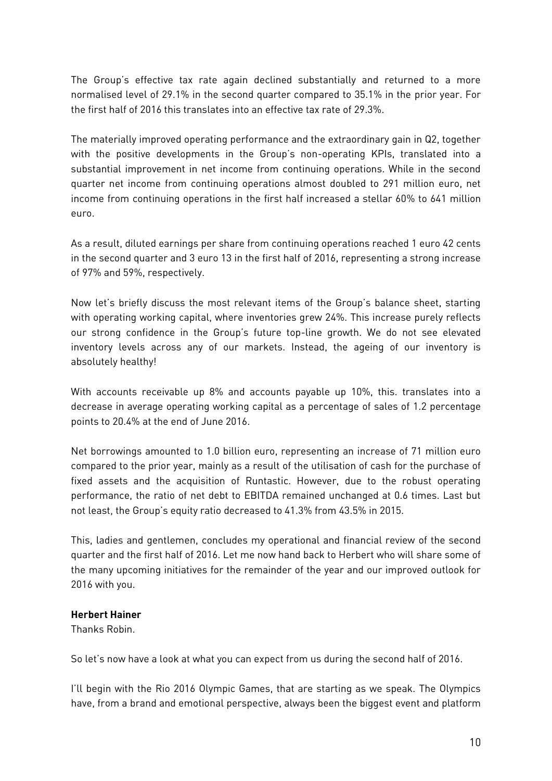The Group's effective tax rate again declined substantially and returned to a more normalised level of 29.1% in the second quarter compared to 35.1% in the prior year. For the first half of 2016 this translates into an effective tax rate of 29.3%.

The materially improved operating performance and the extraordinary gain in Q2, together with the positive developments in the Group's non-operating KPIs, translated into a substantial improvement in net income from continuing operations. While in the second quarter net income from continuing operations almost doubled to 291 million euro, net income from continuing operations in the first half increased a stellar 60% to 641 million euro.

As a result, diluted earnings per share from continuing operations reached 1 euro 42 cents in the second quarter and 3 euro 13 in the first half of 2016, representing a strong increase of 97% and 59%, respectively.

Now let's briefly discuss the most relevant items of the Group's balance sheet, starting with operating working capital, where inventories grew 24%. This increase purely reflects our strong confidence in the Group's future top-line growth. We do not see elevated inventory levels across any of our markets. Instead, the ageing of our inventory is absolutely healthy!

With accounts receivable up 8% and accounts payable up 10%, this. translates into a decrease in average operating working capital as a percentage of sales of 1.2 percentage points to 20.4% at the end of June 2016.

Net borrowings amounted to 1.0 billion euro, representing an increase of 71 million euro compared to the prior year, mainly as a result of the utilisation of cash for the purchase of fixed assets and the acquisition of Runtastic. However, due to the robust operating performance, the ratio of net debt to EBITDA remained unchanged at 0.6 times. Last but not least, the Group's equity ratio decreased to 41.3% from 43.5% in 2015.

This, ladies and gentlemen, concludes my operational and financial review of the second quarter and the first half of 2016. Let me now hand back to Herbert who will share some of the many upcoming initiatives for the remainder of the year and our improved outlook for 2016 with you.

## **Herbert Hainer**

Thanks Robin.

So let's now have a look at what you can expect from us during the second half of 2016.

I'll begin with the Rio 2016 Olympic Games, that are starting as we speak. The Olympics have, from a brand and emotional perspective, always been the biggest event and platform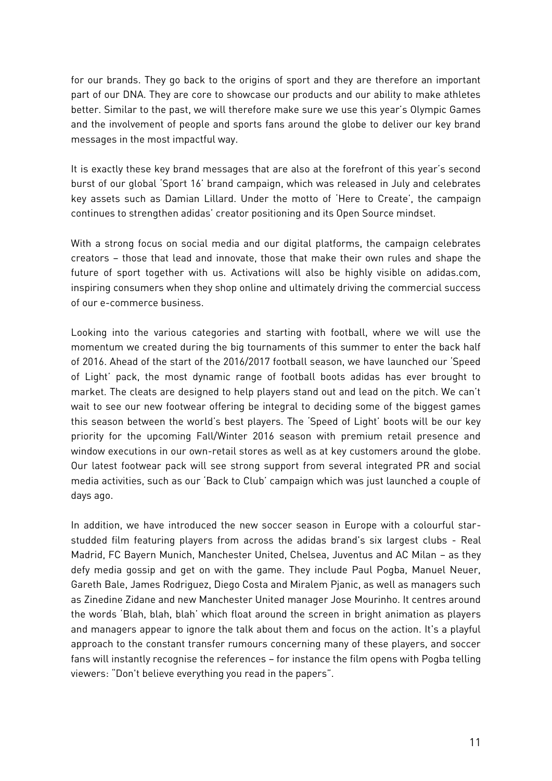for our brands. They go back to the origins of sport and they are therefore an important part of our DNA. They are core to showcase our products and our ability to make athletes better. Similar to the past, we will therefore make sure we use this year's Olympic Games and the involvement of people and sports fans around the globe to deliver our key brand messages in the most impactful way.

It is exactly these key brand messages that are also at the forefront of this year's second burst of our global 'Sport 16' brand campaign, which was released in July and celebrates key assets such as Damian Lillard. Under the motto of 'Here to Create', the campaign continues to strengthen adidas' creator positioning and its Open Source mindset.

With a strong focus on social media and our digital platforms, the campaign celebrates creators – those that lead and innovate, those that make their own rules and shape the future of sport together with us. Activations will also be highly visible on adidas.com, inspiring consumers when they shop online and ultimately driving the commercial success of our e-commerce business.

Looking into the various categories and starting with football, where we will use the momentum we created during the big tournaments of this summer to enter the back half of 2016. Ahead of the start of the 2016/2017 football season, we have launched our 'Speed of Light' pack, the most dynamic range of football boots adidas has ever brought to market. The cleats are designed to help players stand out and lead on the pitch. We can't wait to see our new footwear offering be integral to deciding some of the biggest games this season between the world's best players. The 'Speed of Light' boots will be our key priority for the upcoming Fall/Winter 2016 season with premium retail presence and window executions in our own-retail stores as well as at key customers around the globe. Our latest footwear pack will see strong support from several integrated PR and social media activities, such as our 'Back to Club' campaign which was just launched a couple of days ago.

In addition, we have introduced the new soccer season in Europe with a colourful starstudded film featuring players from across the adidas brand's six largest clubs - Real Madrid, FC Bayern Munich, Manchester United, Chelsea, Juventus and AC Milan – as they defy media gossip and get on with the game. They include Paul Pogba, Manuel Neuer, Gareth Bale, James Rodriguez, Diego Costa and Miralem Pjanic, as well as managers such as Zinedine Zidane and new Manchester United manager Jose Mourinho. It centres around the words 'Blah, blah, blah' which float around the screen in bright animation as players and managers appear to ignore the talk about them and focus on the action. It's a playful approach to the constant transfer rumours concerning many of these players, and soccer fans will instantly recognise the references – for instance the film opens with Pogba telling viewers: "Don't believe everything you read in the papers".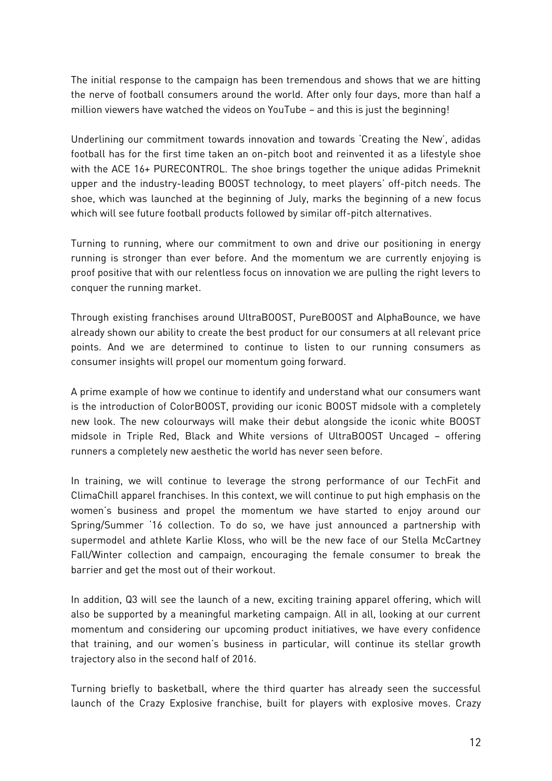The initial response to the campaign has been tremendous and shows that we are hitting the nerve of football consumers around the world. After only four days, more than half a million viewers have watched the videos on YouTube – and this is just the beginning!

Underlining our commitment towards innovation and towards 'Creating the New', adidas football has for the first time taken an on-pitch boot and reinvented it as a lifestyle shoe with the ACE 16+ PURECONTROL. The shoe brings together the unique adidas Primeknit upper and the industry-leading BOOST technology, to meet players' off-pitch needs. The shoe, which was launched at the beginning of July, marks the beginning of a new focus which will see future football products followed by similar off-pitch alternatives.

Turning to running, where our commitment to own and drive our positioning in energy running is stronger than ever before. And the momentum we are currently enjoying is proof positive that with our relentless focus on innovation we are pulling the right levers to conquer the running market.

Through existing franchises around UltraBOOST, PureBOOST and AlphaBounce, we have already shown our ability to create the best product for our consumers at all relevant price points. And we are determined to continue to listen to our running consumers as consumer insights will propel our momentum going forward.

A prime example of how we continue to identify and understand what our consumers want is the introduction of ColorBOOST, providing our iconic BOOST midsole with a completely new look. The new colourways will make their debut alongside the iconic white BOOST midsole in Triple Red, Black and White versions of UltraBOOST Uncaged – offering runners a completely new aesthetic the world has never seen before.

In training, we will continue to leverage the strong performance of our TechFit and ClimaChill apparel franchises. In this context, we will continue to put high emphasis on the women's business and propel the momentum we have started to enjoy around our Spring/Summer '16 collection. To do so, we have just announced a partnership with supermodel and athlete Karlie Kloss, who will be the new face of our Stella McCartney Fall/Winter collection and campaign, encouraging the female consumer to break the barrier and get the most out of their workout.

In addition, Q3 will see the launch of a new, exciting training apparel offering, which will also be supported by a meaningful marketing campaign. All in all, looking at our current momentum and considering our upcoming product initiatives, we have every confidence that training, and our women's business in particular, will continue its stellar growth trajectory also in the second half of 2016.

Turning briefly to basketball, where the third quarter has already seen the successful launch of the Crazy Explosive franchise, built for players with explosive moves. Crazy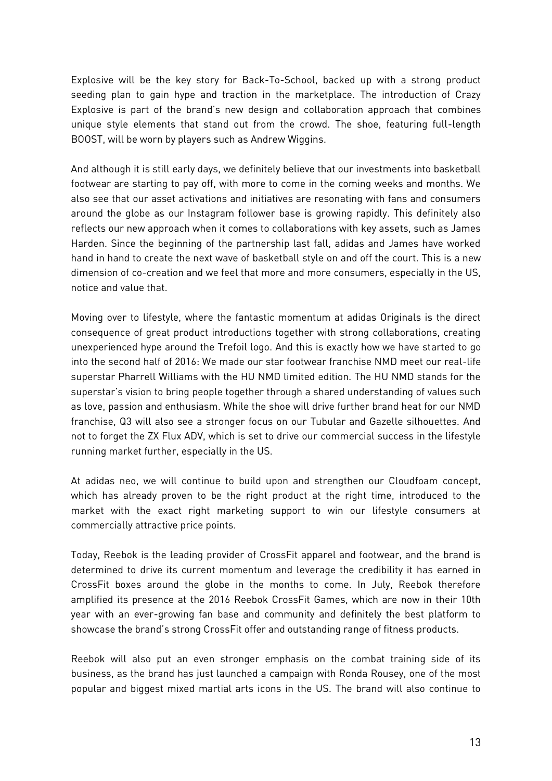Explosive will be the key story for Back-To-School, backed up with a strong product seeding plan to gain hype and traction in the marketplace. The introduction of Crazy Explosive is part of the brand's new design and collaboration approach that combines unique style elements that stand out from the crowd. The shoe, featuring full-length BOOST, will be worn by players such as Andrew Wiggins.

And although it is still early days, we definitely believe that our investments into basketball footwear are starting to pay off, with more to come in the coming weeks and months. We also see that our asset activations and initiatives are resonating with fans and consumers around the globe as our Instagram follower base is growing rapidly. This definitely also reflects our new approach when it comes to collaborations with key assets, such as James Harden. Since the beginning of the partnership last fall, adidas and James have worked hand in hand to create the next wave of basketball style on and off the court. This is a new dimension of co-creation and we feel that more and more consumers, especially in the US, notice and value that.

Moving over to lifestyle, where the fantastic momentum at adidas Originals is the direct consequence of great product introductions together with strong collaborations, creating unexperienced hype around the Trefoil logo. And this is exactly how we have started to go into the second half of 2016: We made our star footwear franchise NMD meet our real-life superstar Pharrell Williams with the HU NMD limited edition. The HU NMD stands for the superstar's vision to bring people together through a shared understanding of values such as love, passion and enthusiasm. While the shoe will drive further brand heat for our NMD franchise, Q3 will also see a stronger focus on our Tubular and Gazelle silhouettes. And not to forget the ZX Flux ADV, which is set to drive our commercial success in the lifestyle running market further, especially in the US.

At adidas neo, we will continue to build upon and strengthen our Cloudfoam concept, which has already proven to be the right product at the right time, introduced to the market with the exact right marketing support to win our lifestyle consumers at commercially attractive price points.

Today, Reebok is the leading provider of CrossFit apparel and footwear, and the brand is determined to drive its current momentum and leverage the credibility it has earned in CrossFit boxes around the globe in the months to come. In July, Reebok therefore amplified its presence at the 2016 Reebok CrossFit Games, which are now in their 10th year with an ever-growing fan base and community and definitely the best platform to showcase the brand's strong CrossFit offer and outstanding range of fitness products.

Reebok will also put an even stronger emphasis on the combat training side of its business, as the brand has just launched a campaign with Ronda Rousey, one of the most popular and biggest mixed martial arts icons in the US. The brand will also continue to